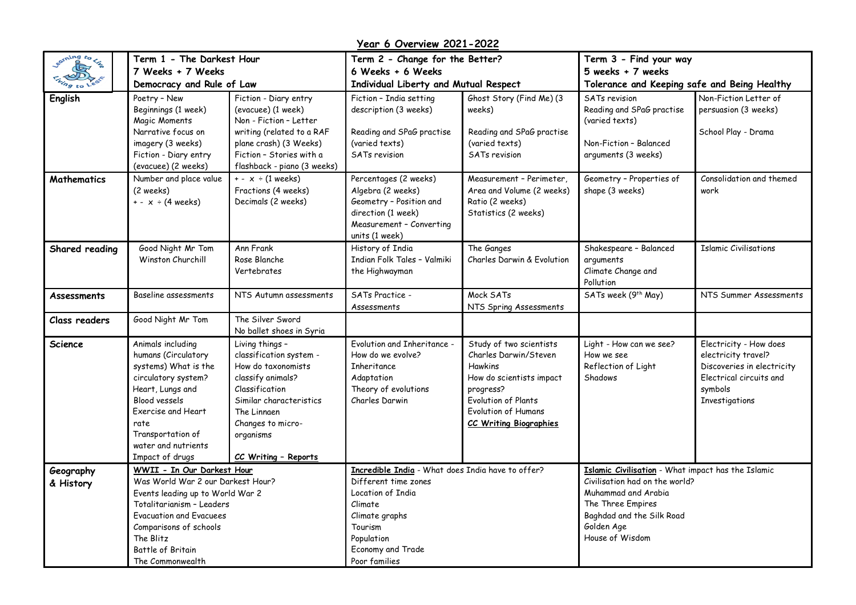**Year 6 Overview 2021-2022**

| earning to lie         | Term 1 - The Darkest Hour                                                                                                                                                                                                                          |                                                                                                                                                                                                             | Term 2 - Change for the Better?                                                                                                                                                            |                                                                                                                                                                                            | Term 3 - Find your way                                                                                                                                                                         |                                                                                                                                     |
|------------------------|----------------------------------------------------------------------------------------------------------------------------------------------------------------------------------------------------------------------------------------------------|-------------------------------------------------------------------------------------------------------------------------------------------------------------------------------------------------------------|--------------------------------------------------------------------------------------------------------------------------------------------------------------------------------------------|--------------------------------------------------------------------------------------------------------------------------------------------------------------------------------------------|------------------------------------------------------------------------------------------------------------------------------------------------------------------------------------------------|-------------------------------------------------------------------------------------------------------------------------------------|
|                        | 7 Weeks + 7 Weeks                                                                                                                                                                                                                                  |                                                                                                                                                                                                             | 6 Weeks + 6 Weeks                                                                                                                                                                          |                                                                                                                                                                                            | 5 weeks + 7 weeks                                                                                                                                                                              |                                                                                                                                     |
|                        | Democracy and Rule of Law                                                                                                                                                                                                                          |                                                                                                                                                                                                             | Individual Liberty and Mutual Respect                                                                                                                                                      |                                                                                                                                                                                            | Tolerance and Keeping safe and Being Healthy                                                                                                                                                   |                                                                                                                                     |
| English                | Poetry - New<br>Beginnings (1 week)<br>Magic Moments<br>Narrative focus on<br>imagery (3 weeks)<br>Fiction - Diary entry<br>(evacuee) (2 weeks)                                                                                                    | Fiction - Diary entry<br>(evacuee) (1 week)<br>Non - Fiction - Letter<br>writing (related to a RAF<br>plane crash) (3 Weeks)<br>Fiction - Stories with a<br>flashback - piano (3 weeks)                     | Fiction - India setting<br>description (3 weeks)<br>Reading and SPaG practise<br>(varied texts)<br>SATs revision                                                                           | Ghost Story (Find Me) (3<br>weeks)<br>Reading and SPaG practise<br>(varied texts)<br><b>SATs revision</b>                                                                                  | <b>SATs revision</b><br>Reading and SPaG practise<br>(varied texts)<br>Non-Fiction - Balanced<br>arguments (3 weeks)                                                                           | Non-Fiction Letter of<br>persuasion (3 weeks)<br>School Play - Drama                                                                |
| Mathematics            | Number and place value<br>(2 weeks)<br>$+ - x \div (4 \text{ weeks})$                                                                                                                                                                              | $+ - x \div (1$ weeks)<br>Fractions (4 weeks)<br>Decimals (2 weeks)                                                                                                                                         | Percentages (2 weeks)<br>Algebra (2 weeks)<br>Geometry - Position and<br>direction (1 week)<br>Measurement - Converting<br>units (1 week)                                                  | Measurement - Perimeter,<br>Area and Volume (2 weeks)<br>Ratio (2 weeks)<br>Statistics (2 weeks)                                                                                           | Geometry - Properties of<br>shape (3 weeks)                                                                                                                                                    | Consolidation and themed<br>work                                                                                                    |
| Shared reading         | Good Night Mr Tom<br>Winston Churchill                                                                                                                                                                                                             | Ann Frank<br>Rose Blanche<br>Vertebrates                                                                                                                                                                    | History of India<br>Indian Folk Tales - Valmiki<br>the Highwayman                                                                                                                          | The Ganges<br>Charles Darwin & Evolution                                                                                                                                                   | Shakespeare - Balanced<br>arguments<br>Climate Change and<br>Pollution                                                                                                                         | <b>Islamic Civilisations</b>                                                                                                        |
| Assessments            | Baseline assessments                                                                                                                                                                                                                               | NTS Autumn assessments                                                                                                                                                                                      | SATs Practice -<br>Assessments                                                                                                                                                             | Mock SATs<br>NTS Spring Assessments                                                                                                                                                        | SATs week (9 <sup>th</sup> May)                                                                                                                                                                | NTS Summer Assessments                                                                                                              |
| Class readers          | Good Night Mr Tom                                                                                                                                                                                                                                  | The Silver Sword<br>No ballet shoes in Syria                                                                                                                                                                |                                                                                                                                                                                            |                                                                                                                                                                                            |                                                                                                                                                                                                |                                                                                                                                     |
| <b>Science</b>         | Animals including<br>humans (Circulatory<br>systems) What is the<br>circulatory system?<br>Heart, Lungs and<br>Blood vessels<br>Exercise and Heart<br>rate<br>Transportation of<br>water and nutrients<br>Impact of drugs                          | Living things -<br>classification system -<br>How do taxonomists<br>classify animals?<br>Classification<br>Similar characteristics<br>The Linnaen<br>Changes to micro-<br>organisms<br>CC Writing - Reports | Evolution and Inheritance -<br>How do we evolve?<br>Inheritance<br>Adaptation<br>Theory of evolutions<br>Charles Darwin                                                                    | Study of two scientists<br>Charles Darwin/Steven<br><b>Hawkins</b><br>How do scientists impact<br>progress?<br>Evolution of Plants<br>Evolution of Humans<br><b>CC Writing Biographies</b> | Light - How can we see?<br>How we see<br>Reflection of Light<br>Shadows                                                                                                                        | Electricity - How does<br>electricity travel?<br>Discoveries in electricity<br>Electrical circuits and<br>symbols<br>Investigations |
| Geography<br>& History | WWII - In Our Darkest Hour<br>Was World War 2 our Darkest Hour?<br>Events leading up to World War 2<br>Totalitarianism - Leaders<br><b>Evacuation and Evacuees</b><br>Comparisons of schools<br>The Blitz<br>Battle of Britain<br>The Commonwealth |                                                                                                                                                                                                             | Incredible India - What does India have to offer?<br>Different time zones<br>Location of India<br>Climate<br>Climate graphs<br>Tourism<br>Population<br>Economy and Trade<br>Poor families |                                                                                                                                                                                            | Islamic Civilisation - What impact has the Islamic<br>Civilisation had on the world?<br>Muhammad and Arabia<br>The Three Empires<br>Baghdad and the Silk Road<br>Golden Age<br>House of Wisdom |                                                                                                                                     |